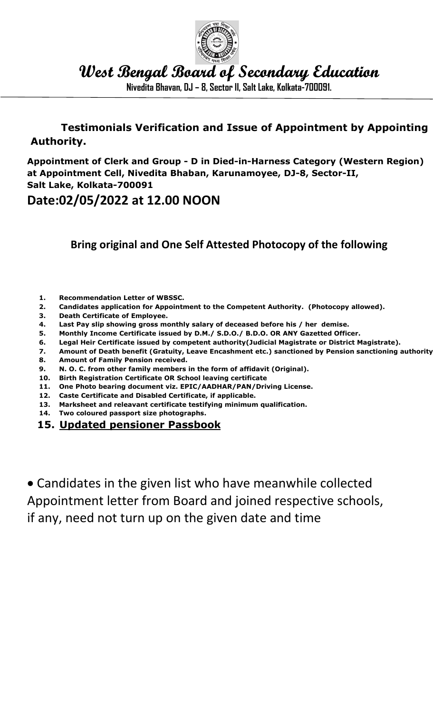

West Bengal Board of Secondary Education

Nivedita Bhavan, DJ – 8, Sector II, Salt Lake, Kolkata-700091.

## Testimonials Verification and Issue of Appointment by Appointing Authority.

Appointment of Clerk and Group - D in Died-in-Harness Category (Western Region) at Appointment Cell, Nivedita Bhaban, Karunamoyee, DJ-8, Sector-II, Salt Lake, Kolkata-700091

## Date:02/05/2022 at 12.00 NOON

Bring original and One Self Attested Photocopy of the following

- 1. Recommendation Letter of WBSSC.
- 2. Candidates application for Appointment to the Competent Authority. (Photocopy allowed).
- 3. Death Certificate of Employee.
- 4. Last Pay slip showing gross monthly salary of deceased before his / her demise.
- 5. Monthly Income Certificate issued by D.M./ S.D.O./ B.D.O. OR ANY Gazetted Officer.
- 6. Legal Heir Certificate issued by competent authority(Judicial Magistrate or District Magistrate).
- 7. Amount of Death benefit (Gratuity, Leave Encashment etc.) sanctioned by Pension sanctioning authority
- 8. Amount of Family Pension received.
- 9. N. O. C. from other family members in the form of affidavit (Original).
- 10. Birth Registration Certificate OR School leaving certificate
- 11. One Photo bearing document viz. EPIC/AADHAR/PAN/Driving License.
- 12. Caste Certificate and Disabled Certificate, if applicable.
- 13. Marksheet and releavant certificate testifying minimum qualification.
- 14. Two coloured passport size photographs.
- 15. Updated pensioner Passbook

 Candidates in the given list who have meanwhile collected Appointment letter from Board and joined respective schools, if any, need not turn up on the given date and time